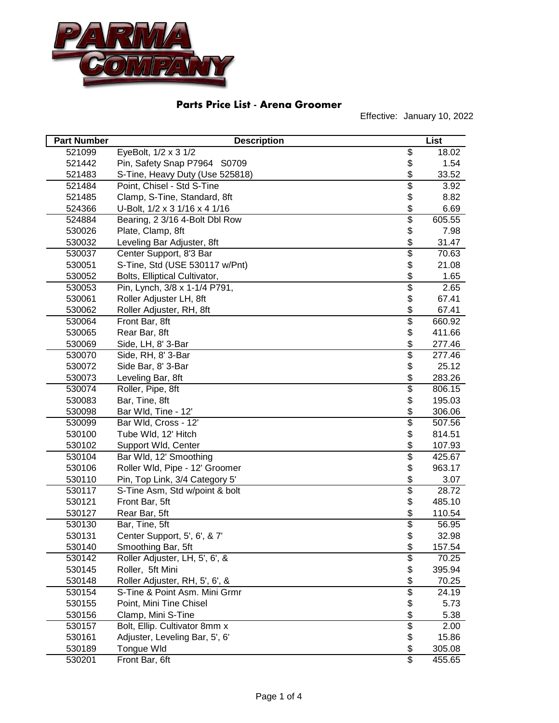

| <b>Part Number</b> | <b>Description</b>              |                          | List   |
|--------------------|---------------------------------|--------------------------|--------|
| 521099             | EyeBolt, 1/2 x 3 1/2            | $\overline{\mathcal{G}}$ | 18.02  |
| 521442             | Pin, Safety Snap P7964 S0709    | \$                       | 1.54   |
| 521483             | S-Tine, Heavy Duty (Use 525818) | \$                       | 33.52  |
| 521484             | Point, Chisel - Std S-Tine      | $\overline{\$}$          | 3.92   |
| 521485             | Clamp, S-Tine, Standard, 8ft    | \$                       | 8.82   |
| 524366             | U-Bolt, 1/2 x 3 1/16 x 4 1/16   | \$                       | 6.69   |
| 524884             | Bearing, 2 3/16 4-Bolt Dbl Row  | $\overline{\$}$          | 605.55 |
| 530026             | Plate, Clamp, 8ft               | \$                       | 7.98   |
| 530032             | Leveling Bar Adjuster, 8ft      | \$                       | 31.47  |
| 530037             | Center Support, 8'3 Bar         | $\overline{\$}$          | 70.63  |
| 530051             | S-Tine, Std (USE 530117 w/Pnt)  | \$                       | 21.08  |
| 530052             | Bolts, Elliptical Cultivator,   | \$                       | 1.65   |
| 530053             | Pin, Lynch, 3/8 x 1-1/4 P791,   | $\overline{\$}$          | 2.65   |
| 530061             | Roller Adjuster LH, 8ft         | \$                       | 67.41  |
| 530062             | Roller Adjuster, RH, 8ft        | $\frac{1}{2}$            | 67.41  |
| 530064             | Front Bar, 8ft                  | \$                       | 660.92 |
| 530065             | Rear Bar, 8ft                   | \$                       | 411.66 |
| 530069             | Side, LH, 8' 3-Bar              | \$                       | 277.46 |
| 530070             | Side, RH, 8' 3-Bar              | $\overline{\$}$          | 277.46 |
| 530072             | Side Bar, 8' 3-Bar              | \$                       | 25.12  |
| 530073             | Leveling Bar, 8ft               | \$                       | 283.26 |
| 530074             | Roller, Pipe, 8ft               | \$                       | 806.15 |
| 530083             | Bar, Tine, 8ft                  | \$                       | 195.03 |
| 530098             | Bar Wld, Tine - 12'             | \$                       | 306.06 |
| 530099             | Bar Wld, Cross - 12'            | $\overline{\$}$          | 507.56 |
| 530100             | Tube Wld, 12' Hitch             | \$                       | 814.51 |
| 530102             | Support Wld, Center             | \$                       | 107.93 |
| 530104             | Bar Wld, 12' Smoothing          | $\overline{\$}$          | 425.67 |
| 530106             | Roller Wld, Pipe - 12' Groomer  | \$                       | 963.17 |
| 530110             | Pin, Top Link, 3/4 Category 5'  | \$                       | 3.07   |
| 530117             | S-Tine Asm, Std w/point & bolt  | $\overline{\$}$          | 28.72  |
| 530121             | Front Bar, 5ft                  | \$                       | 485.10 |
| 530127             | Rear Bar, 5ft                   | \$                       | 110.54 |
| 530130             | Bar, Tine, 5ft                  | $\overline{\$}$          | 56.95  |
| 530131             | Center Support, 5', 6', & 7'    | \$                       | 32.98  |
| 530140             | Smoothing Bar, 5ft              | \$                       | 157.54 |
| 530142             | Roller Adjuster, LH, 5', 6', &  | \$                       | 70.25  |
| 530145             | Roller, 5ft Mini                | \$                       | 395.94 |
| 530148             | Roller Adjuster, RH, 5', 6', &  | \$                       | 70.25  |
| 530154             | S-Tine & Point Asm. Mini Grmr   | $\overline{\$}$          | 24.19  |
| 530155             | Point, Mini Tine Chisel         | \$                       | 5.73   |
| 530156             | Clamp, Mini S-Tine              | \$                       | 5.38   |
| 530157             | Bolt, Ellip. Cultivator 8mm x   | $\overline{\mathcal{E}}$ | 2.00   |
| 530161             | Adjuster, Leveling Bar, 5', 6'  | \$                       | 15.86  |
| 530189             | Tongue Wld                      | \$                       | 305.08 |
| 530201             | Front Bar, 6ft                  | $\overline{\mathcal{S}}$ | 455.65 |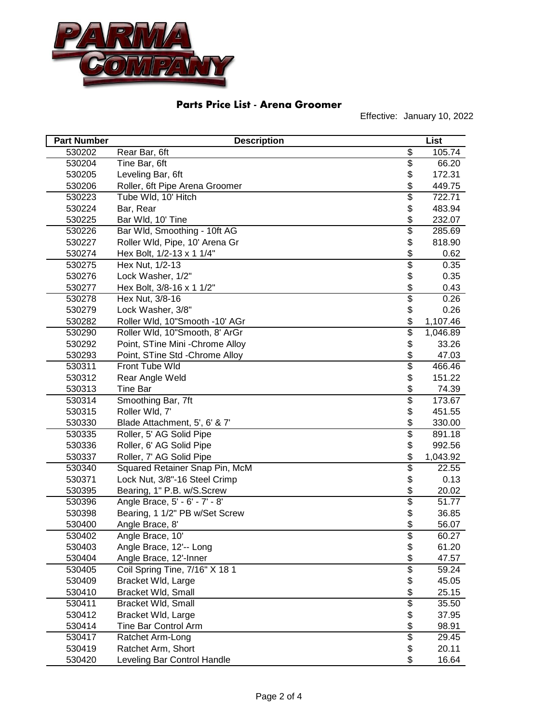

| <b>Part Number</b> | <b>Description</b>               |                          | List     |
|--------------------|----------------------------------|--------------------------|----------|
| 530202             | Rear Bar, 6ft                    | \$                       | 105.74   |
| 530204             | Tine Bar, 6ft                    | $\overline{\$}$          | 66.20    |
| 530205             | Leveling Bar, 6ft                | \$                       | 172.31   |
| 530206             | Roller, 6ft Pipe Arena Groomer   | \$                       | 449.75   |
| 530223             | Tube Wld, 10' Hitch              | $\overline{\$}$          | 722.71   |
| 530224             | Bar, Rear                        | \$                       | 483.94   |
| 530225             | Bar Wld, 10' Tine                | \$                       | 232.07   |
| 530226             | Bar Wld, Smoothing - 10ft AG     | \$                       | 285.69   |
| 530227             | Roller Wld, Pipe, 10' Arena Gr   | \$                       | 818.90   |
| 530274             | Hex Bolt, 1/2-13 x 1 1/4"        | \$                       | 0.62     |
| 530275             | Hex Nut, 1/2-13                  | $\overline{\$}$          | 0.35     |
| 530276             | Lock Washer, 1/2"                | \$                       | 0.35     |
| 530277             | Hex Bolt, 3/8-16 x 1 1/2"        | \$                       | 0.43     |
| 530278             | Hex Nut, 3/8-16                  | $\overline{\$}$          | 0.26     |
| 530279             | Lock Washer, 3/8"                | \$                       | 0.26     |
| 530282             | Roller Wld, 10"Smooth -10' AGr   | \$                       | 1,107.46 |
| 530290             | Roller Wld, 10"Smooth, 8' ArGr   | $\overline{\mathcal{S}}$ | 1,046.89 |
| 530292             | Point, STine Mini - Chrome Alloy | \$                       | 33.26    |
| 530293             | Point, STine Std - Chrome Alloy  | \$                       | 47.03    |
| 530311             | Front Tube Wld                   | $\overline{\$}$          | 466.46   |
| 530312             | Rear Angle Weld                  | \$                       | 151.22   |
| 530313             | <b>Tine Bar</b>                  | \$                       | 74.39    |
| 530314             | Smoothing Bar, 7ft               | $\overline{\$}$          | 173.67   |
| 530315             | Roller Wld, 7'                   | \$                       | 451.55   |
| 530330             | Blade Attachment, 5', 6' & 7'    | \$                       | 330.00   |
| 530335             | Roller, 5' AG Solid Pipe         | $\overline{\$}$          | 891.18   |
| 530336             | Roller, 6' AG Solid Pipe         | \$                       | 992.56   |
| 530337             | Roller, 7' AG Solid Pipe         | \$                       | 1,043.92 |
| 530340             | Squared Retainer Snap Pin, McM   | \$                       | 22.55    |
| 530371             | Lock Nut, 3/8"-16 Steel Crimp    | \$                       | 0.13     |
| 530395             | Bearing, 1" P.B. w/S.Screw       | \$                       | 20.02    |
| 530396             | Angle Brace, 5' - 6' - 7' - 8'   | $\overline{\$}$          | 51.77    |
| 530398             | Bearing, 1 1/2" PB w/Set Screw   | \$                       | 36.85    |
| 530400             | Angle Brace, 8'                  | \$                       | 56.07    |
| 530402             | Angle Brace, 10'                 | \$                       | 60.27    |
| 530403             | Angle Brace, 12'-- Long          | \$                       | 61.20    |
| 530404             | Angle Brace, 12'-Inner           | \$                       | 47.57    |
| 530405             | Coil Spring Tine, 7/16" X 18 1   | \$                       | 59.24    |
| 530409             | Bracket Wld, Large               | \$                       | 45.05    |
| 530410             | Bracket Wld, Small               | \$                       | 25.15    |
| 530411             | Bracket Wld, Small               | $\overline{\$}$          | 35.50    |
| 530412             | Bracket Wld, Large               | \$                       | 37.95    |
| 530414             | <b>Tine Bar Control Arm</b>      | \$                       | 98.91    |
| 530417             | Ratchet Arm-Long                 | $\overline{\$}$          | 29.45    |
| 530419             | Ratchet Arm, Short               | \$                       | 20.11    |
| 530420             | Leveling Bar Control Handle      | \$                       | 16.64    |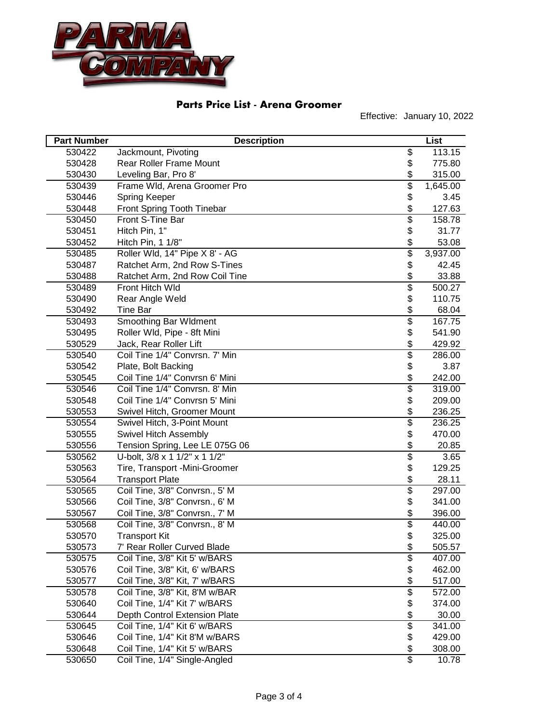

| <b>Part Number</b> | <b>Description</b>             |                          | List     |
|--------------------|--------------------------------|--------------------------|----------|
| 530422             | Jackmount, Pivoting            | \$                       | 113.15   |
| 530428             | <b>Rear Roller Frame Mount</b> | \$                       | 775.80   |
| 530430             | Leveling Bar, Pro 8'           | \$                       | 315.00   |
| 530439             | Frame Wld, Arena Groomer Pro   | \$                       | 1,645.00 |
| 530446             | Spring Keeper                  | \$                       | 3.45     |
| 530448             | Front Spring Tooth Tinebar     | \$                       | 127.63   |
| 530450             | Front S-Tine Bar               | \$                       | 158.78   |
| 530451             | Hitch Pin, 1"                  | \$                       | 31.77    |
| 530452             | Hitch Pin, 1 1/8"              | \$                       | 53.08    |
| 530485             | Roller Wld, 14" Pipe X 8' - AG | $\overline{\$}$          | 3,937.00 |
| 530487             | Ratchet Arm, 2nd Row S-Tines   | \$                       | 42.45    |
| 530488             | Ratchet Arm, 2nd Row Coil Tine | \$                       | 33.88    |
| 530489             | Front Hitch Wld                | \$                       | 500.27   |
| 530490             | Rear Angle Weld                | \$                       | 110.75   |
| 530492             | <b>Tine Bar</b>                | \$                       | 68.04    |
| 530493             | Smoothing Bar Wldment          | \$                       | 167.75   |
| 530495             | Roller Wld, Pipe - 8ft Mini    | \$                       | 541.90   |
| 530529             | Jack, Rear Roller Lift         | \$                       | 429.92   |
| 530540             | Coil Tine 1/4" Convrsn. 7' Min | \$                       | 286.00   |
| 530542             | Plate, Bolt Backing            | \$                       | 3.87     |
| 530545             | Coil Tine 1/4" Convrsn 6' Mini | \$                       | 242.00   |
| 530546             | Coil Tine 1/4" Convrsn. 8' Min | $\overline{\$}$          | 319.00   |
| 530548             | Coil Tine 1/4" Convrsn 5' Mini | \$                       | 209.00   |
| 530553             | Swivel Hitch, Groomer Mount    | \$                       | 236.25   |
| 530554             | Swivel Hitch, 3-Point Mount    | $\overline{\$}$          | 236.25   |
| 530555             | Swivel Hitch Assembly          | \$                       | 470.00   |
| 530556             | Tension Spring, Lee LE 075G 06 | \$                       | 20.85    |
| 530562             | U-bolt, 3/8 x 1 1/2" x 1 1/2"  | \$                       | 3.65     |
| 530563             | Tire, Transport -Mini-Groomer  | \$                       | 129.25   |
| 530564             | <b>Transport Plate</b>         | \$                       | 28.11    |
| 530565             | Coil Tine, 3/8" Convrsn., 5' M | \$                       | 297.00   |
| 530566             | Coil Tine, 3/8" Convrsn., 6' M | \$                       | 341.00   |
| 530567             | Coil Tine, 3/8" Convrsn., 7' M | \$                       | 396.00   |
| 530568             | Coil Tine, 3/8" Convrsn., 8' M | \$                       | 440.00   |
| 530570             | <b>Transport Kit</b>           | \$                       | 325.00   |
| 530573             | 7' Rear Roller Curved Blade    | \$                       | 505.57   |
| 530575             | Coil Tine, 3/8" Kit 5' w/BARS  | \$                       | 407.00   |
| 530576             | Coil Tine, 3/8" Kit, 6' w/BARS | \$                       | 462.00   |
| 530577             | Coil Tine, 3/8" Kit, 7' w/BARS | \$                       | 517.00   |
| 530578             | Coil Tine, 3/8" Kit, 8'M w/BAR | $\overline{\$}$          | 572.00   |
| 530640             | Coil Tine, 1/4" Kit 7' w/BARS  | \$                       | 374.00   |
| 530644             | Depth Control Extension Plate  | \$                       | 30.00    |
| 530645             | Coil Tine, 1/4" Kit 6' w/BARS  | $\overline{\mathcal{E}}$ | 341.00   |
| 530646             | Coil Tine, 1/4" Kit 8'M w/BARS | \$                       | 429.00   |
| 530648             | Coil Tine, 1/4" Kit 5' w/BARS  | \$                       | 308.00   |
| 530650             | Coil Tine, 1/4" Single-Angled  | $\overline{\mathbf{S}}$  | 10.78    |